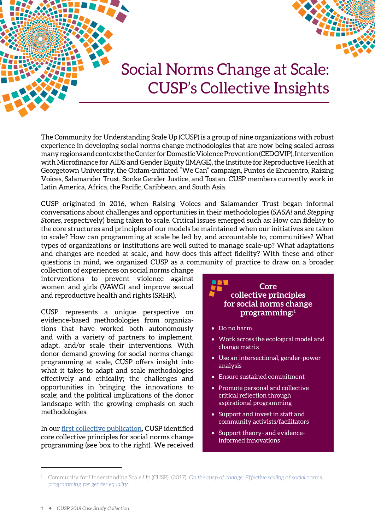

# Social Norms Change at Scale: CUSP's Collective Insights

The Community for Understanding Scale Up (CUSP) is a group of nine organizations with robust experience in developing social norms change methodologies that are now being scaled across many regions and contexts: the Center for Domestic Violence Prevention (CEDOVIP), Intervention with Microfinance for AIDS and Gender Equity (IMAGE), the Institute for Reproductive Health at Georgetown University, the Oxfam-initiated "We Can" campaign, Puntos de Encuentro, Raising Voices, Salamander Trust, Sonke Gender Justice, and Tostan. CUSP members currently work in Latin America, Africa, the Pacific, Caribbean, and South Asia.

CUSP originated in 2016, when Raising Voices and Salamander Trust began informal conversations about challenges and opportunities in their methodologies (*SASA!* and *Stepping Stones*, respectively) being taken to scale. Critical issues emerged such as: How can fidelity to the core structures and principles of our models be maintained when our initiatives are taken to scale? How can programming at scale be led by, and accountable to, communities? What types of organizations or institutions are well suited to manage scale-up? What adaptations and changes are needed at scale, and how does this affect fidelity? With these and other questions in mind, we organized CUSP as a community of practice to draw on a broader

collection of experiences on social norms change interventions to prevent violence against women and girls (VAWG) and improve sexual and reproductive health and rights (SRHR).

CUSP represents a unique perspective on evidence-based methodologies from organizations that have worked both autonomously and with a variety of partners to implement, adapt, and/or scale their interventions. With donor demand growing for social norms change programming at scale, CUSP offers insight into what it takes to adapt and scale methodologies effectively and ethically; the challenges and opportunities in bringing the innovations to scale; and the political implications of the donor landscape with the growing emphasis on such methodologies.

In our [first collective publication](http://raisingvoices.org/wp-content/uploads/2013/02/CUSP.SVRIpaper.Final_.6sept2017.forWeb.pdf), CUSP identified core collective principles for social norms change programming (see box to the right). We received



- Work across the ecological model and change matrix
- Use an intersectional, gender-power analysis
- Ensure sustained commitment
- Promote personal and collective critical reflection through aspirational programming
- Support and invest in staff and community activists/facilitators
- Support theory- and evidenceinformed innovations

<sup>1</sup> Community for Understanding Scale Up (CUSP). (2017). *[On the cusp of change: Effective scaling of social norms](http://raisingvoices.org/wp-content/uploads/2013/02/CUSP.SVRIpaper.Final_.6sept2017.forWeb.pdf)  [programming for gender equality.](http://raisingvoices.org/wp-content/uploads/2013/02/CUSP.SVRIpaper.Final_.6sept2017.forWeb.pdf)*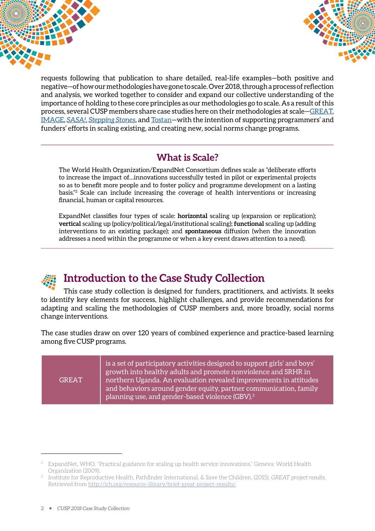



requests following that publication to share detailed, real-life examples—both positive and negative—of how our methodologies have gone to scale. Over 2018, through a process of reflection and analysis, we worked together to consider and expand our collective understanding of the importance of holding to these core principles as our methodologies go to scale. As a result of this process, several CUSP members share case studies here on their methodologies at scale[—GREAT,](http://irh.org/projects/great_project/) [IMAGE,](http://www.image-sa.co.za/PROGRAMME/The-Intervention) *[SASA!](http://raisingvoices.org/sasa/)*, *[Stepping Stones](https://steppingstonesfeedback.org/)*, and [Tostan—](https://www.tostan.org/programs/community-empowerment-program/)with the intention of supporting programmers' and funders' efforts in scaling existing, and creating new, social norms change programs.2

### **What is Scale?**

The World Health Organization/ExpandNet Consortium defines scale as "deliberate efforts to increase the impact of…innovations successfully tested in pilot or experimental projects so as to benefit more people and to foster policy and programme development on a lasting basis."2 Scale can include increasing the coverage of health interventions or increasing financial, human or capital resources.

ExpandNet classifies four types of scale: **horizontal** scaling up (expansion or replication); **vertical** scaling up (policy/political/legal/institutional scaling); **functional** scaling up (adding interventions to an existing package); and **spontaneous** diffusion (when the innovation addresses a need within the programme or when a key event draws attention to a need).

### **Introduction to the Case Study Collection**

This case study collection is designed for funders, practitioners, and activists. It seeks to identify key elements for success, highlight challenges, and provide recommendations for adapting and scaling the methodologies of CUSP members and, more broadly, social norms change interventions.

The case studies draw on over 120 years of combined experience and practice-based learning among five CUSP programs.

| <b>GREAT</b> | is a set of participatory activities designed to support girls' and boys'<br>growth into healthy adults and promote nonviolence and SRHR in<br>northern Uganda. An evaluation revealed improvements in attitudes<br>and behaviors around gender equity, partner communication, family<br>planning use, and gender-based violence (GBV). <sup>3</sup> |
|--------------|------------------------------------------------------------------------------------------------------------------------------------------------------------------------------------------------------------------------------------------------------------------------------------------------------------------------------------------------------|
|--------------|------------------------------------------------------------------------------------------------------------------------------------------------------------------------------------------------------------------------------------------------------------------------------------------------------------------------------------------------------|

<sup>2</sup> ExpandNet, WHO. "Practical guidance for scaling up health service innovations." Geneva: World Health Organization (2009).

<sup>3</sup> Institute for Reproductive Health, Pathfinder International, & Save the Children. (2015). *GREAT project results.*  Retrieved from<http://irh.org/resource-library/brief-great-project-results/>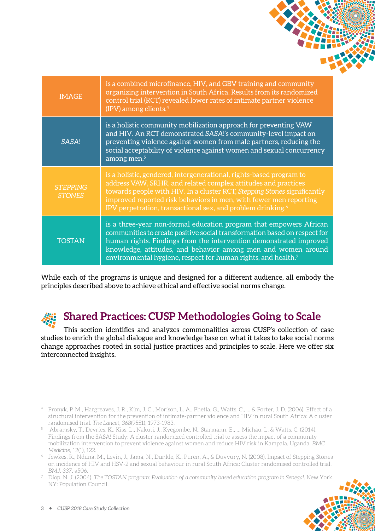| <b>IMAGE</b>                     | is a combined microfinance, HIV, and GBV training and community<br>organizing intervention in South Africa. Results from its randomized<br>control trial (RCT) revealed lower rates of intimate partner violence<br>(IPV) among clients. $4$                                                                                                                      |
|----------------------------------|-------------------------------------------------------------------------------------------------------------------------------------------------------------------------------------------------------------------------------------------------------------------------------------------------------------------------------------------------------------------|
| SASA!                            | is a holistic community mobilization approach for preventing VAW<br>and HIV. An RCT demonstrated SASA!'s community-level impact on<br>preventing violence against women from male partners, reducing the<br>social acceptability of violence against women and sexual concurrency<br>among men. <sup>5</sup>                                                      |
| <b>STEPPING</b><br><b>STONES</b> | is a holistic, gendered, intergenerational, rights-based program to<br>address VAW, SRHR, and related complex attitudes and practices<br>towards people with HIV. In a cluster RCT, Stepping Stones significantly<br>improved reported risk behaviors in men, with fewer men reporting<br>IPV perpetration, transactional sex, and problem drinking. <sup>6</sup> |
| <b>TOSTAN</b>                    | is a three-year non-formal education program that empowers African<br>communities to create positive social transformation based on respect for<br>human rights. Findings from the intervention demonstrated improved<br>knowledge, attitudes, and behavior among men and women around<br>environmental hygiene, respect for human rights, and health.7           |

While each of the programs is unique and designed for a different audience, all embody the principles described above to achieve ethical and effective social norms change.

## **Shared Practices: CUSP Methodologies Going to Scale**

This section identifies and analyzes commonalities across CUSP's collection of case studies to enrich the global dialogue and knowledge base on what it takes to take social norms change approaches rooted in social justice practices and principles to scale. Here we offer six interconnected insights.

<sup>7</sup> Diop, N. J. (2004). *The TOSTAN program: Evaluation of a community based education program in Senegal.* New York, NY: Population Council.



<sup>4</sup> Pronyk, P. M., Hargreaves, J. R., Kim, J. C., Morison, L. A., Phetla, G., Watts, C., ... & Porter, J. D. (2006). Effect of a structural intervention for the prevention of intimate-partner violence and HIV in rural South Africa: A cluster randomised trial. *The Lancet, 368*(9551), 1973-1983.

<sup>5</sup> Abramsky, T., Devries, K., Kiss, L., Nakuti, J., Kyegombe, N., Starmann, E., … Michau, L. & Watts, C. (2014). Findings from the SASA! Study: A cluster randomized controlled trial to assess the impact of a community mobilization intervention to prevent violence against women and reduce HIV risk in Kampala, Uganda. *BMC Medicine*, 12(1), 122.

Jewkes, R., Nduna, M., Levin, J., Jama, N., Dunkle, K., Puren, A., & Duvvury, N. (2008). Impact of Stepping Stones on incidence of HIV and HSV-2 and sexual behaviour in rural South Africa: Cluster randomised controlled trial. *BMJ, 337*, a506.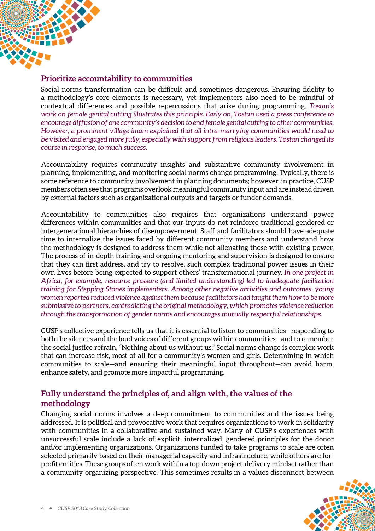

#### **Prioritize accountability to communities**

Social norms transformation can be difficult and sometimes dangerous. Ensuring fidelity to a methodology's core elements is necessary, yet implementers also need to be mindful of contextual differences and possible repercussions that arise during programming. *Tostan's work on female genital cutting illustrates this principle. Early on, Tostan used a press conference to encourage diffusion of one community's decision to end female genital cutting to other communities. However, a prominent village imam explained that all intra-marrying communities would need to be visited and engaged more fully, especially with support from religious leaders. Tostan changed its course in response, to much success.*

Accountability requires community insights and substantive community involvement in planning, implementing, and monitoring social norms change programming. Typically, there is some reference to community involvement in planning documents; however, in practice, CUSP members often see that programs overlook meaningful community input and are instead driven by external factors such as organizational outputs and targets or funder demands.

Accountability to communities also requires that organizations understand power differences within communities and that our inputs do not reinforce traditional gendered or intergenerational hierarchies of disempowerment. Staff and facilitators should have adequate time to internalize the issues faced by different community members and understand how the methodology is designed to address them while not alienating those with existing power. The process of in-depth training and ongoing mentoring and supervision is designed to ensure that they can first address, and try to resolve, such complex traditional power issues in their own lives before being expected to support others' transformational journey. *In one project in Africa, for example, resource pressure (and limited understanding) led to inadequate facilitation training for Stepping Stones implementers. Among other negative activities and outcomes, young women reported reduced violence against them because facilitators had taught them how to be more submissive to partners, contradicting the original methodology, which promotes violence reduction through the transformation of gender norms and encourages mutually respectful relationships.* 

CUSP's collective experience tells us that it is essential to listen to communities—responding to both the silences and the loud voices of different groups within communities—and to remember the social justice refrain, "Nothing about us without us." Social norms change is complex work that can increase risk, most of all for a community's women and girls. Determining in which communities to scale—and ensuring their meaningful input throughout—can avoid harm, enhance safety, and promote more impactful programming.

#### **Fully understand the principles of, and align with, the values of the methodology**

Changing social norms involves a deep commitment to communities and the issues being addressed. It is political and provocative work that requires organizations to work in solidarity with communities in a collaborative and sustained way. Many of CUSP's experiences with unsuccessful scale include a lack of explicit, internalized, gendered principles for the donor and/or implementing organizations. Organizations funded to take programs to scale are often selected primarily based on their managerial capacity and infrastructure, while others are forprofit entities. These groups often work within a top-down project-delivery mindset rather than a community organizing perspective. This sometimes results in a values disconnect between

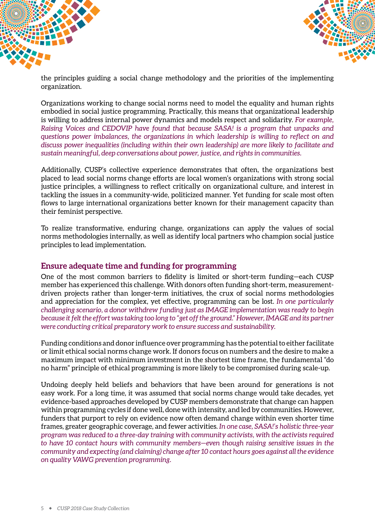



the principles guiding a social change methodology and the priorities of the implementing organization.

Organizations working to change social norms need to model the equality and human rights embodied in social justice programming. Practically, this means that organizational leadership is willing to address internal power dynamics and models respect and solidarity. *For example, Raising Voices and CEDOVIP have found that because SASA! is a program that unpacks and questions power imbalances, the organizations in which leadership is willing to reflect on and discuss power inequalities (including within their own leadership) are more likely to facilitate and sustain meaningful, deep conversations about power, justice, and rights in communities.*

Additionally, CUSP's collective experience demonstrates that often, the organizations best placed to lead social norms change efforts are local women's organizations with strong social justice principles, a willingness to reflect critically on organizational culture, and interest in tackling the issues in a community-wide, politicized manner. Yet funding for scale most often flows to large international organizations better known for their management capacity than their feminist perspective.

To realize transformative, enduring change, organizations can apply the values of social norms methodologies internally, as well as identify local partners who champion social justice principles to lead implementation.

#### **Ensure adequate time and funding for programming**

One of the most common barriers to fidelity is limited or short-term funding—each CUSP member has experienced this challenge. With donors often funding short-term, measurementdriven projects rather than longer-term initiatives, the crux of social norms methodologies and appreciation for the complex, yet effective, programming can be lost. *In one particularly challenging scenario, a donor withdrew funding just as IMAGE implementation was ready to begin because it felt the effort was taking too long to "get off the ground." However, IMAGE and its partner were conducting critical preparatory work to ensure success and sustainability.*

Funding conditions and donor influence over programming has the potential to either facilitate or limit ethical social norms change work. If donors focus on numbers and the desire to make a maximum impact with minimum investment in the shortest time frame, the fundamental "do no harm" principle of ethical programming is more likely to be compromised during scale-up.

Undoing deeply held beliefs and behaviors that have been around for generations is not easy work. For a long time, it was assumed that social norms change would take decades, yet evidence-based approaches developed by CUSP members demonstrate that change can happen within programming cycles if done well, done with intensity, and led by communities. However, funders that purport to rely on evidence now often demand change within even shorter time frames, greater geographic coverage, and fewer activities. *In one case, SASA!'s holistic three-year program was reduced to a three-day training with community activists, with the activists required to have 10 contact hours with community members—even though raising sensitive issues in the community and expecting (and claiming) change after 10 contact hours goes against all the evidence on quality VAWG prevention programming.*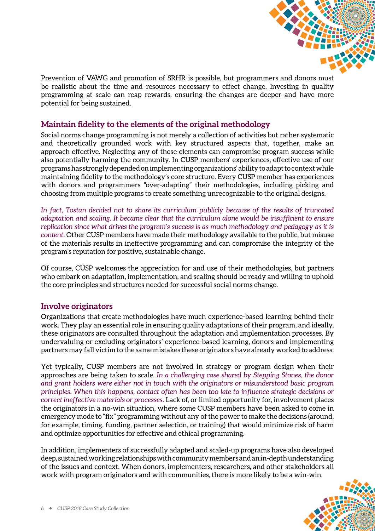

Prevention of VAWG and promotion of SRHR is possible, but programmers and donors must be realistic about the time and resources necessary to effect change. Investing in quality programming at scale can reap rewards, ensuring the changes are deeper and have more potential for being sustained.

#### **Maintain fidelity to the elements of the original methodology**

Social norms change programming is not merely a collection of activities but rather systematic and theoretically grounded work with key structured aspects that, together, make an approach effective. Neglecting any of these elements can compromise program success while also potentially harming the community. In CUSP members' experiences, effective use of our programs has strongly depended on implementing organizations' ability to adapt to context while maintaining fidelity to the methodology's core structure. Every CUSP member has experiences with donors and programmers "over-adapting" their methodologies, including picking and choosing from multiple programs to create something unrecognizable to the original designs.

*In fact, Tostan decided not to share its curriculum publicly because of the results of truncated adaptation and scaling. It became clear that the curriculum alone would be insufficient to ensure replication since what drives the program's success is as much methodology and pedagogy as it is content.* Other CUSP members have made their methodology available to the public, but misuse of the materials results in ineffective programming and can compromise the integrity of the program's reputation for positive, sustainable change.

Of course, CUSP welcomes the appreciation for and use of their methodologies, but partners who embark on adaptation, implementation, and scaling should be ready and willing to uphold the core principles and structures needed for successful social norms change.

#### **Involve originators**

Organizations that create methodologies have much experience-based learning behind their work. They play an essential role in ensuring quality adaptations of their program, and ideally, these originators are consulted throughout the adaptation and implementation processes. By undervaluing or excluding originators' experience-based learning, donors and implementing partners may fall victim to the same mistakes these originators have already worked to address.

Yet typically, CUSP members are not involved in strategy or program design when their approaches are being taken to scale. *In a challenging case shared by Stepping Stones, the donor and grant holders were either not in touch with the originators or misunderstood basic program principles. When this happens, contact often has been too late to influence strategic decisions or correct ineffective materials or processes.* Lack of, or limited opportunity for, involvement places the originators in a no-win situation, where some CUSP members have been asked to come in emergency mode to "fix" programming without any of the power to make the decisions (around, for example, timing, funding, partner selection, or training) that would minimize risk of harm and optimize opportunities for effective and ethical programming.

In addition, implementers of successfully adapted and scaled-up programs have also developed deep, sustained working relationships with community members and an in-depth understanding of the issues and context. When donors, implementers, researchers, and other stakeholders all work with program originators and with communities, there is more likely to be a win-win.

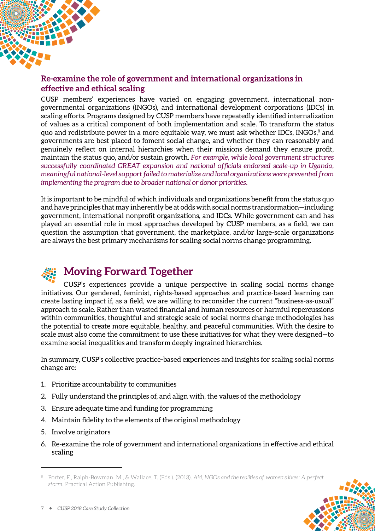

#### **Re-examine the role of government and international organizations in effective and ethical scaling**

CUSP members' experiences have varied on engaging government, international nongovernmental organizations (INGOs), and international development corporations (IDCs) in scaling efforts. Programs designed by CUSP members have repeatedly identified internalization of values as a critical component of both implementation and scale. To transform the status quo and redistribute power in a more equitable way, we must ask whether IDCs, INGOs,<sup>8</sup> and governments are best placed to foment social change, and whether they can reasonably and genuinely reflect on internal hierarchies when their missions demand they ensure profit, maintain the status quo, and/or sustain growth. *For example, while local government structures successfully coordinated GREAT expansion and national officials endorsed scale-up in Uganda, meaningful national-level support failed to materialize and local organizations were prevented from implementing the program due to broader national or donor priorities.*

It is important to be mindful of which individuals and organizations benefit from the status quo and have principles that may inherently be at odds with social norms transformation—including government, international nonprofit organizations, and IDCs. While government can and has played an essential role in most approaches developed by CUSP members, as a field, we can question the assumption that government, the marketplace, and/or large-scale organizations are always the best primary mechanisms for scaling social norms change programming.

## **Moving Forward Together**

CUSP's experiences provide a unique perspective in scaling social norms change initiatives. Our gendered, feminist, rights-based approaches and practice-based learning can create lasting impact if, as a field, we are willing to reconsider the current "business-as-usual" approach to scale. Rather than wasted financial and human resources or harmful repercussions within communities, thoughtful and strategic scale of social norms change methodologies has the potential to create more equitable, healthy, and peaceful communities. With the desire to scale must also come the commitment to use these initiatives for what they were designed—to examine social inequalities and transform deeply ingrained hierarchies.

In summary, CUSP's collective practice-based experiences and insights for scaling social norms change are:

- 1. Prioritize accountability to communities
- 2. Fully understand the principles of, and align with, the values of the methodology
- 3. Ensure adequate time and funding for programming
- 4. Maintain fidelity to the elements of the original methodology
- 5. Involve originators
- 6. Re-examine the role of government and international organizations in effective and ethical scaling

<sup>8</sup> Porter, F., Ralph-Bowman, M., & Wallace, T. (Eds.). (2013). *Aid, NGOs and the realities of women's lives: A perfect storm.* Practical Action Publishing.